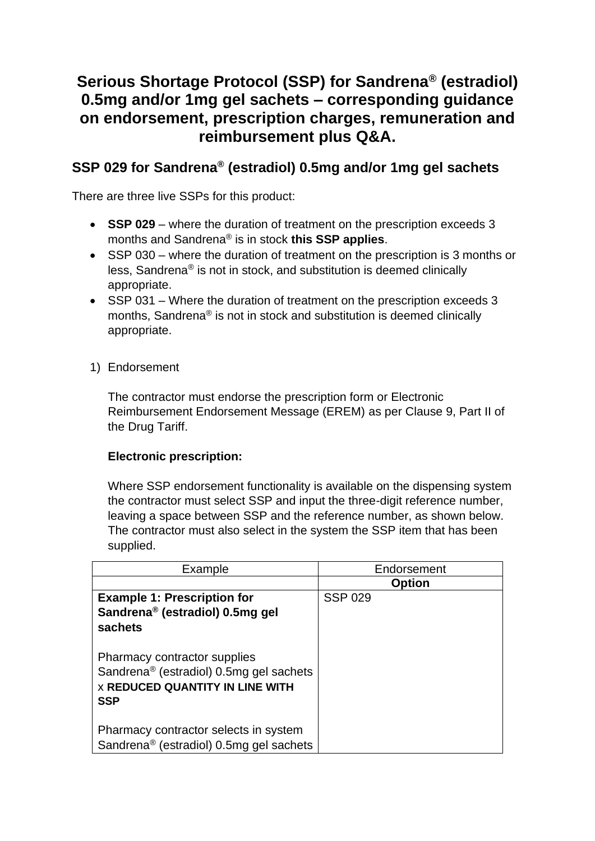# **Serious Shortage Protocol (SSP) for Sandrena® (estradiol) 0.5mg and/or 1mg gel sachets – corresponding guidance on endorsement, prescription charges, remuneration and reimbursement plus Q&A.**

# **SSP 029 for Sandrena® (estradiol) 0.5mg and/or 1mg gel sachets**

There are three live SSPs for this product:

- **SSP 029** where the duration of treatment on the prescription exceeds 3 months and Sandrena® is in stock **this SSP applies**.
- SSP 030 where the duration of treatment on the prescription is 3 months or less, Sandrena® is not in stock, and substitution is deemed clinically appropriate.
- SSP 031 Where the duration of treatment on the prescription exceeds 3 months, Sandrena® is not in stock and substitution is deemed clinically appropriate.
- 1) Endorsement

The contractor must endorse the prescription form or Electronic Reimbursement Endorsement Message (EREM) as per Clause 9, Part II of the Drug Tariff.

## **Electronic prescription:**

Where SSP endorsement functionality is available on the dispensing system the contractor must select SSP and input the three-digit reference number, leaving a space between SSP and the reference number, as shown below. The contractor must also select in the system the SSP item that has been supplied.

| Example                                                                                                                                     | Endorsement    |
|---------------------------------------------------------------------------------------------------------------------------------------------|----------------|
|                                                                                                                                             | <b>Option</b>  |
| <b>Example 1: Prescription for</b><br>Sandrena <sup>®</sup> (estradiol) 0.5mg gel<br>sachets                                                | <b>SSP 029</b> |
| Pharmacy contractor supplies<br>Sandrena <sup>®</sup> (estradiol) 0.5mg gel sachets<br><b>X REDUCED QUANTITY IN LINE WITH</b><br><b>SSP</b> |                |
| Pharmacy contractor selects in system<br>Sandrena <sup>®</sup> (estradiol) 0.5mg gel sachets                                                |                |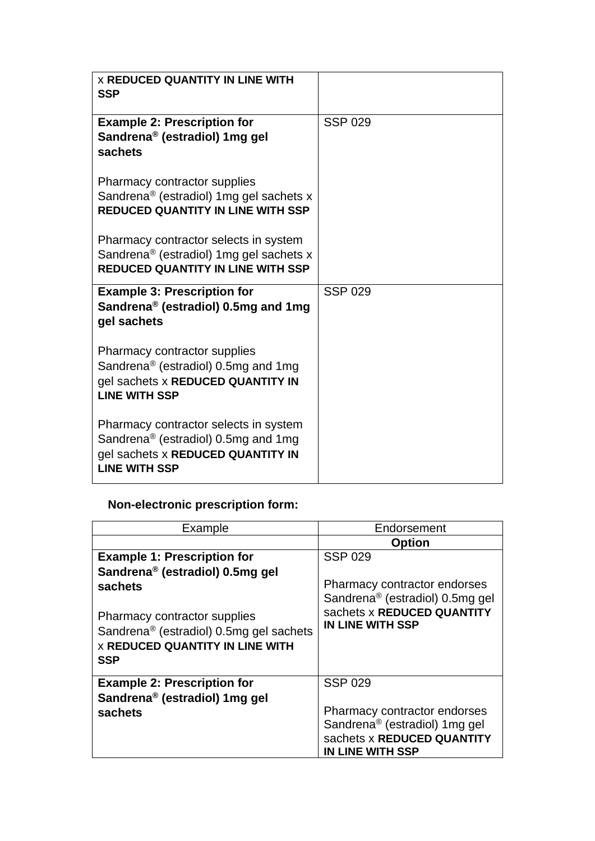| <b>X REDUCED QUANTITY IN LINE WITH</b><br><b>SSP</b>                                                                                                  |                |
|-------------------------------------------------------------------------------------------------------------------------------------------------------|----------------|
| <b>Example 2: Prescription for</b><br>Sandrena <sup>®</sup> (estradiol) 1mg gel<br>sachets                                                            | <b>SSP 029</b> |
| Pharmacy contractor supplies<br>Sandrena <sup>®</sup> (estradiol) 1mg gel sachets x<br><b>REDUCED QUANTITY IN LINE WITH SSP</b>                       |                |
| Pharmacy contractor selects in system<br>Sandrena <sup>®</sup> (estradiol) 1mg gel sachets x<br><b>REDUCED QUANTITY IN LINE WITH SSP</b>              |                |
| <b>Example 3: Prescription for</b><br>Sandrena® (estradiol) 0.5mg and 1mg<br>gel sachets                                                              | <b>SSP 029</b> |
| Pharmacy contractor supplies<br>Sandrena <sup>®</sup> (estradiol) 0.5mg and 1mg<br>gel sachets x REDUCED QUANTITY IN<br><b>LINE WITH SSP</b>          |                |
| Pharmacy contractor selects in system<br>Sandrena <sup>®</sup> (estradiol) 0.5mg and 1mg<br>gel sachets x REDUCED QUANTITY IN<br><b>LINE WITH SSP</b> |                |

# **Non-electronic prescription form:**

| Example                                                                 | Endorsement                                                                                                                        |
|-------------------------------------------------------------------------|------------------------------------------------------------------------------------------------------------------------------------|
|                                                                         | <b>Option</b>                                                                                                                      |
| <b>Example 1: Prescription for</b>                                      | <b>SSP 029</b>                                                                                                                     |
| Sandrena <sup>®</sup> (estradiol) 0.5mg gel                             |                                                                                                                                    |
| sachets                                                                 | Pharmacy contractor endorses<br>Sandrena <sup>®</sup> (estradiol) 0.5mg gel                                                        |
| Pharmacy contractor supplies<br>Sandrena® (estradiol) 0.5mg gel sachets | sachets x REDUCED QUANTITY<br>IN LINE WITH SSP                                                                                     |
| <b>X REDUCED QUANTITY IN LINE WITH</b><br>SSP                           |                                                                                                                                    |
| <b>Example 2: Prescription for</b>                                      | <b>SSP 029</b>                                                                                                                     |
| Sandrena <sup>®</sup> (estradiol) 1mg gel                               |                                                                                                                                    |
| sachets                                                                 | Pharmacy contractor endorses<br>Sandrena <sup>®</sup> (estradiol) 1mg gel<br>sachets x REDUCED QUANTITY<br><b>IN LINE WITH SSP</b> |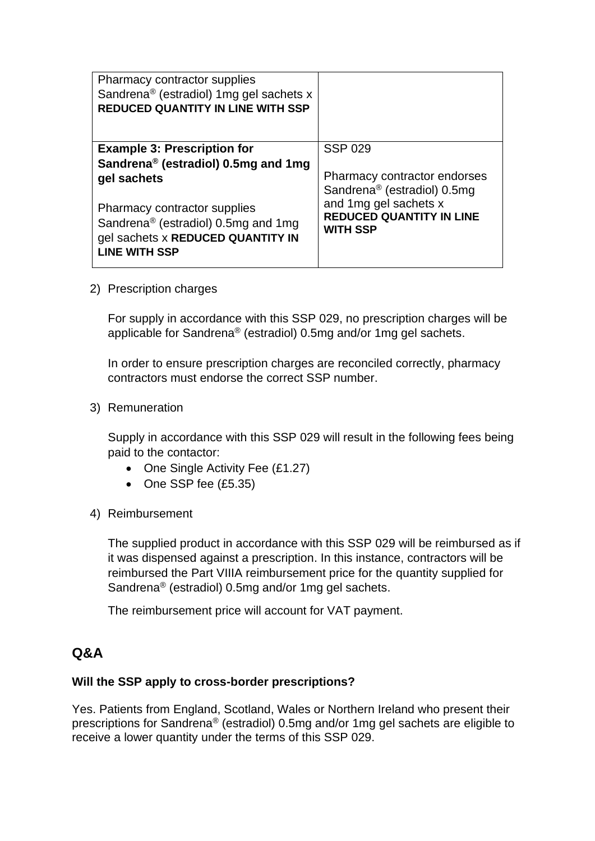| <b>Pharmacy contractor supplies</b><br>Sandrena <sup>®</sup> (estradiol) 1mg gel sachets x<br><b>REDUCED QUANTITY IN LINE WITH SSP</b>              |                                                                             |
|-----------------------------------------------------------------------------------------------------------------------------------------------------|-----------------------------------------------------------------------------|
| <b>Example 3: Prescription for</b><br>Sandrena® (estradiol) 0.5mg and 1mg                                                                           | <b>SSP 029</b>                                                              |
| gel sachets                                                                                                                                         | Pharmacy contractor endorses<br>Sandrena <sup>®</sup> (estradiol) 0.5mg     |
| <b>Pharmacy contractor supplies</b><br>Sandrena <sup>®</sup> (estradiol) 0.5mg and 1mg<br>gel sachets x REDUCED QUANTITY IN<br><b>LINE WITH SSP</b> | and 1mg gel sachets x<br><b>REDUCED QUANTITY IN LINE</b><br><b>WITH SSP</b> |

2) Prescription charges

For supply in accordance with this SSP 029, no prescription charges will be applicable for Sandrena® (estradiol) 0.5mg and/or 1mg gel sachets.

In order to ensure prescription charges are reconciled correctly, pharmacy contractors must endorse the correct SSP number.

3) Remuneration

Supply in accordance with this SSP 029 will result in the following fees being paid to the contactor:

- One Single Activity Fee (£1.27)
- One SSP fee (£5.35)
- 4) Reimbursement

The supplied product in accordance with this SSP 029 will be reimbursed as if it was dispensed against a prescription. In this instance, contractors will be reimbursed the Part VIIIA reimbursement price for the quantity supplied for Sandrena® (estradiol) 0.5mg and/or 1mg gel sachets.

The reimbursement price will account for VAT payment.

# **Q&A**

## **Will the SSP apply to cross-border prescriptions?**

Yes. Patients from England, Scotland, Wales or Northern Ireland who present their prescriptions for Sandrena® (estradiol) 0.5mg and/or 1mg gel sachets are eligible to receive a lower quantity under the terms of this SSP 029.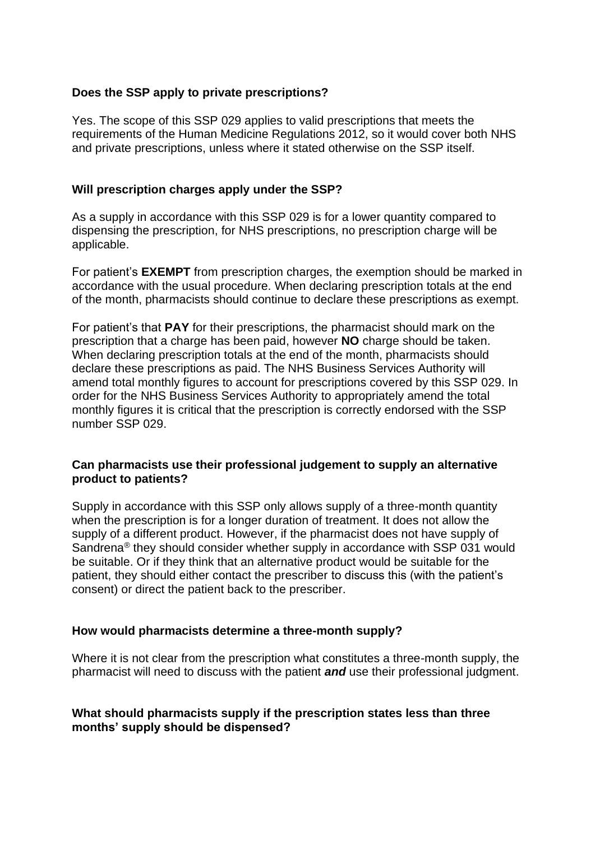#### **Does the SSP apply to private prescriptions?**

Yes. The scope of this SSP 029 applies to valid prescriptions that meets the requirements of the Human Medicine Regulations 2012, so it would cover both NHS and private prescriptions, unless where it stated otherwise on the SSP itself.

#### **Will prescription charges apply under the SSP?**

As a supply in accordance with this SSP 029 is for a lower quantity compared to dispensing the prescription, for NHS prescriptions, no prescription charge will be applicable.

For patient's **EXEMPT** from prescription charges, the exemption should be marked in accordance with the usual procedure. When declaring prescription totals at the end of the month, pharmacists should continue to declare these prescriptions as exempt.

For patient's that **PAY** for their prescriptions, the pharmacist should mark on the prescription that a charge has been paid, however **NO** charge should be taken. When declaring prescription totals at the end of the month, pharmacists should declare these prescriptions as paid. The NHS Business Services Authority will amend total monthly figures to account for prescriptions covered by this SSP 029. In order for the NHS Business Services Authority to appropriately amend the total monthly figures it is critical that the prescription is correctly endorsed with the SSP number SSP 029.

#### **Can pharmacists use their professional judgement to supply an alternative product to patients?**

Supply in accordance with this SSP only allows supply of a three-month quantity when the prescription is for a longer duration of treatment. It does not allow the supply of a different product. However, if the pharmacist does not have supply of Sandrena® they should consider whether supply in accordance with SSP 031 would be suitable. Or if they think that an alternative product would be suitable for the patient, they should either contact the prescriber to discuss this (with the patient's consent) or direct the patient back to the prescriber.

#### **How would pharmacists determine a three-month supply?**

Where it is not clear from the prescription what constitutes a three-month supply, the pharmacist will need to discuss with the patient *and* use their professional judgment.

#### **What should pharmacists supply if the prescription states less than three months' supply should be dispensed?**